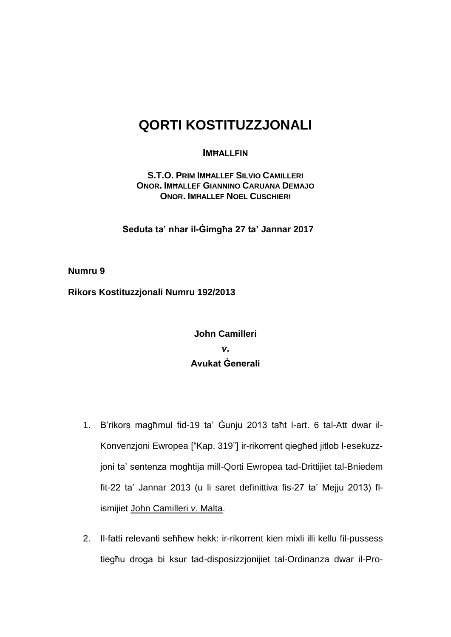## **QORTI KOSTITUZZJONALI**

## **IMĦALLFIN**

**S.T.O. PRIM IMĦALLEF SILVIO CAMILLERI ONOR. IMĦALLEF GIANNINO CARUANA DEMAJO ONOR. IMĦALLEF NOEL CUSCHIERI** 

**Seduta ta' nhar il-Ġimgħa 27 ta' Jannar 2017**

**Numru 9**

**Rikors Kostituzzjonali Numru 192/2013**

## **John Camilleri** *v***. Avukat Ġenerali**

- 1. B'rikors magħmul fid-19 ta' Ġunju 2013 taħt l-art. 6 tal-Att dwar il-Konvenzjoni Ewropea ["Kap. 319"] ir-rikorrent qiegħed jitlob l-esekuzzjoni ta' sentenza mogħtija mill-Qorti Ewropea tad-Drittijiet tal-Bniedem fit-22 ta' Jannar 2013 (u li saret definittiva fis-27 ta' Mejju 2013) flismijiet John Camilleri *v*. Malta.
- 2. Il-fatti relevanti seħħew hekk: ir-rikorrent kien mixli illi kellu fil-pussess tiegħu droga bi ksur tad-disposizzjonijiet tal-Ordinanza dwar il-Pro-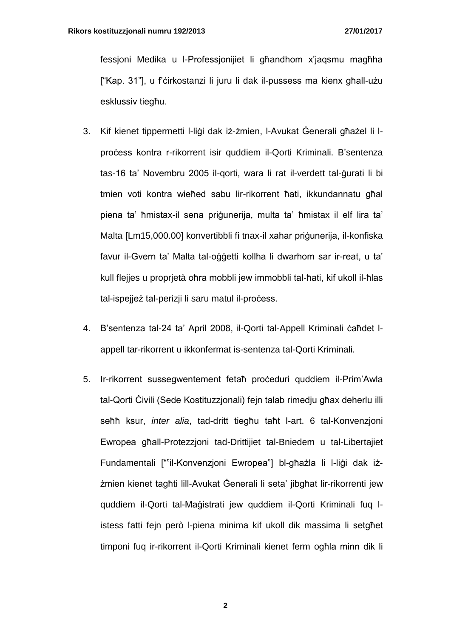fessjoni Medika u l-Professjonijiet li għandhom x'jaqsmu magħha ["Kap. 31"], u f'ċirkostanzi li juru li dak il-pussess ma kienx għall-użu esklussiv tiegħu.

- 3. Kif kienet tippermetti l-liġi dak iż-żmien, l-Avukat Ġenerali għażel li lproċess kontra r-rikorrent isir quddiem il-Qorti Kriminali. B'sentenza tas-16 ta' Novembru 2005 il-qorti, wara li rat il-verdett tal-ġurati li bi tmien voti kontra wieħed sabu lir-rikorrent ħati, ikkundannatu għal piena ta' ħmistax-il sena priġunerija, multa ta' ħmistax il elf lira ta' Malta [Lm15,000,00] konvertibbli fi tnax-il xahar priģunerija, il-konfiska favur il-Gvern ta' Malta tal-oġġetti kollha li dwarhom sar ir-reat, u ta' kull flejjes u proprjetà oħra mobbli jew immobbli tal-ħati, kif ukoll il-ħlas tal-ispejjeż tal-perizji li saru matul il-process.
- 4. B'sentenza tal-24 ta' April 2008, il-Qorti tal-Appell Kriminali ċaħdet lappell tar-rikorrent u ikkonfermat is-sentenza tal-Qorti Kriminali.
- 5. Ir-rikorrent sussegwentement fetaħ proċeduri quddiem il-Prim'Awla tal-Qorti Ċivili (Sede Kostituzzjonali) fejn talab rimedju għax deherlu illi seħħ ksur, *inter alia*, tad-dritt tiegħu taħt l-art. 6 tal-Konvenzjoni Ewropea għall-Protezzjoni tad-Drittijiet tal-Bniedem u tal-Libertajiet Fundamentali [""il-Konvenzjoni Ewropea"] bl-għażla li l-liġi dak iżżmien kienet tagħti lill-Avukat Ġenerali li seta' jibgħat lir-rikorrenti jew quddiem il-Qorti tal-Maġistrati jew quddiem il-Qorti Kriminali fuq listess fatti fejn però l-piena minima kif ukoll dik massima li setgħet timponi fuq ir-rikorrent il-Qorti Kriminali kienet ferm ogħla minn dik li

**2**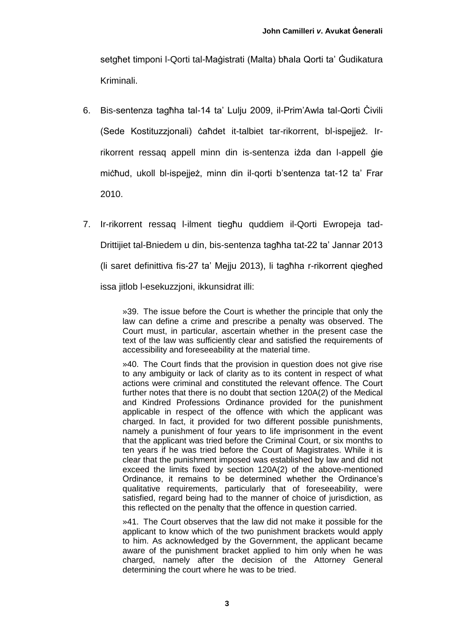setgħet timponi l-Qorti tal-Maġistrati (Malta) bħala Qorti ta' Ġudikatura Kriminali.

- 6. Bis-sentenza tagħha tal-14 ta' Lulju 2009, il-Prim'Awla tal-Qorti Ċivili (Sede Kostituzzjonali) ċaħdet it-talbiet tar-rikorrent, bl-ispejjeż. Irrikorrent ressaq appell minn din is-sentenza iżda dan l-appell ġie miċħud, ukoll bl-ispejjeż, minn din il-qorti b'sentenza tat-12 ta' Frar 2010.
- 7. Ir-rikorrent ressaq l-ilment tiegħu quddiem il-Qorti Ewropeja tad-Drittijiet tal-Bniedem u din, bis-sentenza tagħha tat-22 ta' Jannar 2013 (li saret definittiva fis-27 ta' Mejju 2013), li tagħha r-rikorrent qiegħed issa jitlob l-esekuzzjoni, ikkunsidrat illi:

»39. The issue before the Court is whether the principle that only the law can define a crime and prescribe a penalty was observed. The Court must, in particular, ascertain whether in the present case the text of the law was sufficiently clear and satisfied the requirements of accessibility and foreseeability at the material time.

»40. The Court finds that the provision in question does not give rise to any ambiguity or lack of clarity as to its content in respect of what actions were criminal and constituted the relevant offence. The Court further notes that there is no doubt that section 120A(2) of the Medical and Kindred Professions Ordinance provided for the punishment applicable in respect of the offence with which the applicant was charged. In fact, it provided for two different possible punishments, namely a punishment of four years to life imprisonment in the event that the applicant was tried before the Criminal Court, or six months to ten years if he was tried before the Court of Magistrates. While it is clear that the punishment imposed was established by law and did not exceed the limits fixed by section 120A(2) of the above-mentioned Ordinance, it remains to be determined whether the Ordinance's qualitative requirements, particularly that of foreseeability, were satisfied, regard being had to the manner of choice of jurisdiction, as this reflected on the penalty that the offence in question carried.

»41. The Court observes that the law did not make it possible for the applicant to know which of the two punishment brackets would apply to him. As acknowledged by the Government, the applicant became aware of the punishment bracket applied to him only when he was charged, namely after the decision of the Attorney General determining the court where he was to be tried.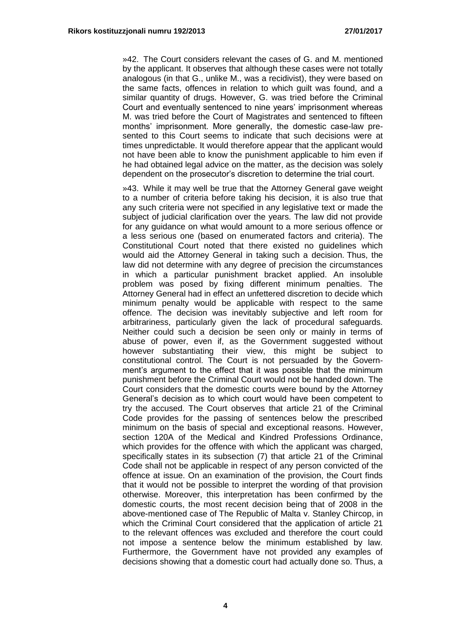»42. The Court considers relevant the cases of G. and M. mentioned by the applicant. It observes that although these cases were not totally analogous (in that G., unlike M., was a recidivist), they were based on the same facts, offences in relation to which guilt was found, and a similar quantity of drugs. However, G. was tried before the Criminal Court and eventually sentenced to nine years' imprisonment whereas M. was tried before the Court of Magistrates and sentenced to fifteen months' imprisonment. More generally, the domestic case-law presented to this Court seems to indicate that such decisions were at times unpredictable. It would therefore appear that the applicant would not have been able to know the punishment applicable to him even if he had obtained legal advice on the matter, as the decision was solely dependent on the prosecutor's discretion to determine the trial court.

»43. While it may well be true that the Attorney General gave weight to a number of criteria before taking his decision, it is also true that any such criteria were not specified in any legislative text or made the subject of judicial clarification over the years. The law did not provide for any guidance on what would amount to a more serious offence or a less serious one (based on enumerated factors and criteria). The Constitutional Court noted that there existed no guidelines which would aid the Attorney General in taking such a decision. Thus, the law did not determine with any degree of precision the circumstances in which a particular punishment bracket applied. An insoluble problem was posed by fixing different minimum penalties. The Attorney General had in effect an unfettered discretion to decide which minimum penalty would be applicable with respect to the same offence. The decision was inevitably subjective and left room for arbitrariness, particularly given the lack of procedural safeguards. Neither could such a decision be seen only or mainly in terms of abuse of power, even if, as the Government suggested without however substantiating their view, this might be subject to constitutional control. The Court is not persuaded by the Government's argument to the effect that it was possible that the minimum punishment before the Criminal Court would not be handed down. The Court considers that the domestic courts were bound by the Attorney General's decision as to which court would have been competent to try the accused. The Court observes that article 21 of the Criminal Code provides for the passing of sentences below the prescribed minimum on the basis of special and exceptional reasons. However, section 120A of the Medical and Kindred Professions Ordinance, which provides for the offence with which the applicant was charged, specifically states in its subsection (7) that article 21 of the Criminal Code shall not be applicable in respect of any person convicted of the offence at issue. On an examination of the provision, the Court finds that it would not be possible to interpret the wording of that provision otherwise. Moreover, this interpretation has been confirmed by the domestic courts, the most recent decision being that of 2008 in the above-mentioned case of The Republic of Malta v. Stanley Chircop, in which the Criminal Court considered that the application of article 21 to the relevant offences was excluded and therefore the court could not impose a sentence below the minimum established by law. Furthermore, the Government have not provided any examples of decisions showing that a domestic court had actually done so. Thus, a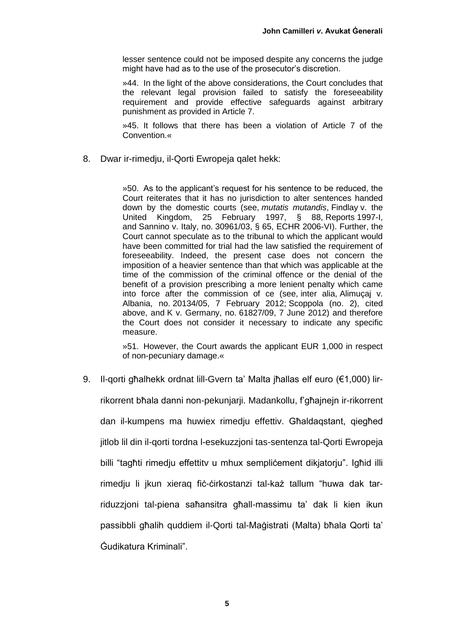lesser sentence could not be imposed despite any concerns the judge might have had as to the use of the prosecutor's discretion.

»44. In the light of the above considerations, the Court concludes that the relevant legal provision failed to satisfy the foreseeability requirement and provide effective safeguards against arbitrary punishment as provided in Article 7.

»45. It follows that there has been a violation of Article 7 of the Convention.«

8. Dwar ir-rimedju, il-Qorti Ewropeja qalet hekk:

»50. As to the applicant's request for his sentence to be reduced, the Court reiterates that it has no jurisdiction to alter sentences handed down by the domestic courts (see, *mutatis mutandis*, Findlay v. the United Kingdom, 25 February 1997, § 88, Reports 1997-I, and Sannino v. Italy, no. 30961/03, § 65, ECHR 2006-VI). Further, the Court cannot speculate as to the tribunal to which the applicant would have been committed for trial had the law satisfied the requirement of foreseeability. Indeed, the present case does not concern the imposition of a heavier sentence than that which was applicable at the time of the commission of the criminal offence or the denial of the benefit of a provision prescribing a more lenient penalty which came into force after the commission of ce (see, inter alia, Alimuçaj v. Albania, no. 20134/05, 7 February 2012; Scoppola (no. 2), cited above, and K v. Germany, no. 61827/09, 7 June 2012) and therefore the Court does not consider it necessary to indicate any specific measure.

»51. However, the Court awards the applicant EUR 1,000 in respect of non-pecuniary damage.«

9. Il-gorti għalhekk ordnat lill-Gvern ta' Malta iħallas elf euro (€1,000) lirrikorrent bħala danni non-pekunjarji. Madankollu, f'għajnejn ir-rikorrent dan il-kumpens ma huwiex rimedju effettiv. Għaldaqstant, qiegħed jitlob lil din il-qorti tordna l-esekuzzjoni tas-sentenza tal-Qorti Ewropeja billi "tagħti rimedju effettitv u mhux sempliċement dikjatorju". Igħid illi rimedju li jkun xieraq fiċ-ċirkostanzi tal-każ tallum "huwa dak tarriduzzjoni tal-piena saħansitra għall-massimu ta' dak li kien ikun passibbli għalih quddiem il-Qorti tal-Maġistrati (Malta) bħala Qorti ta' Ġudikatura Kriminali".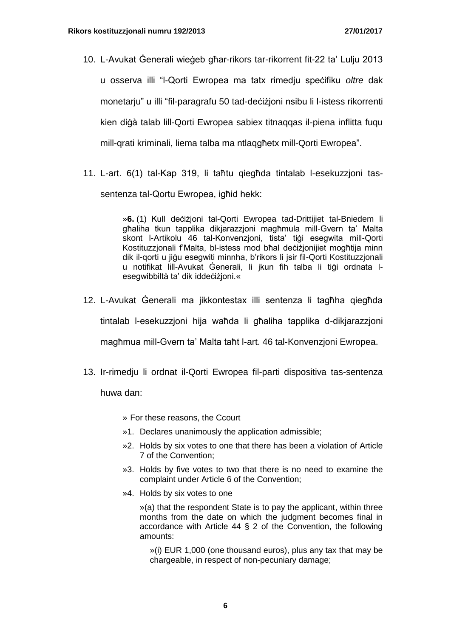- 10. L-Avukat Ġenerali wieġeb għar-rikors tar-rikorrent fit-22 ta' Lulju 2013 u osserva illi "l-Qorti Ewropea ma tatx rimedju speċifiku *oltre* dak monetarju" u illi "fil-paragrafu 50 tad-deċiżjoni nsibu li l-istess rikorrenti kien diġà talab lill-Qorti Ewropea sabiex titnaqqas il-piena inflitta fuqu mill-qrati kriminali, liema talba ma ntlaqgħetx mill-Qorti Ewropea".
- 11. L-art. 6(1) tal-Kap 319, li taħtu qiegħda tintalab l-esekuzzjoni tassentenza tal-Qortu Ewropea, ighid hekk:

»**6.** (1) Kull deċiżjoni tal-Qorti Ewropea tad-Drittijiet tal-Bniedem li għaliha tkun tapplika dikjarazzjoni magħmula mill-Gvern ta' Malta skont l-Artikolu 46 tal-Konvenzjoni, tista' tiġi esegwita mill-Qorti Kostituzzjonali f'Malta, bl-istess mod bħal deċiżjonijiet mogħtija minn dik il-qorti u jiġu esegwiti minnha, b'rikors li jsir fil-Qorti Kostituzzjonali u notifikat lill-Avukat Ġenerali, li jkun fih talba li tiġi ordnata lesegwibbiltà ta' dik iddeċiżjoni.«

- 12. L-Avukat Ġenerali ma jikkontestax illi sentenza li tagħha qiegħda tintalab l-esekuzzjoni hija waħda li għaliha tapplika d-dikjarazzjoni magħmua mill-Gvern ta' Malta taħt l-art. 46 tal-Konvenzjoni Ewropea.
- 13. Ir-rimedju li ordnat il-Qorti Ewropea fil-parti dispositiva tas-sentenza

huwa dan:

- » For these reasons, the Ccourt
- »1. Declares unanimously the application admissible;
- »2. Holds by six votes to one that there has been a violation of Article 7 of the Convention;
- »3. Holds by five votes to two that there is no need to examine the complaint under Article 6 of the Convention;
- »4. Holds by six votes to one

»(a) that the respondent State is to pay the applicant, within three months from the date on which the judgment becomes final in accordance with Article 44 § 2 of the Convention, the following amounts:

»(i) EUR 1,000 (one thousand euros), plus any tax that may be chargeable, in respect of non-pecuniary damage;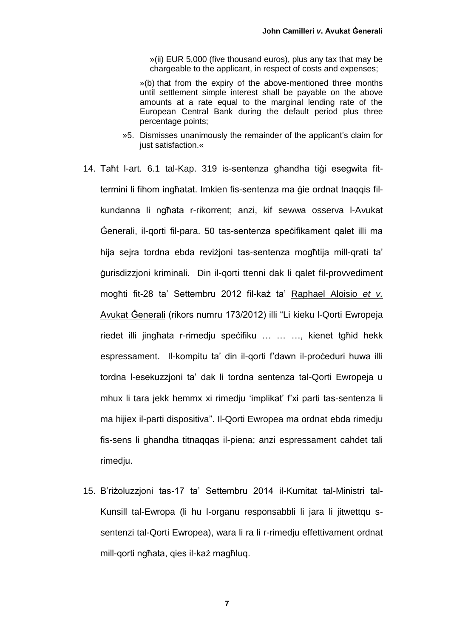»(ii) EUR 5,000 (five thousand euros), plus any tax that may be chargeable to the applicant, in respect of costs and expenses;

»(b) that from the expiry of the above-mentioned three months until settlement simple interest shall be payable on the above amounts at a rate equal to the marginal lending rate of the European Central Bank during the default period plus three percentage points;

- »5. Dismisses unanimously the remainder of the applicant's claim for just satisfaction.«
- 14. Taħt l-art. 6.1 tal-Kap. 319 is-sentenza għandha tiġi esegwita fittermini li fihom ingħatat. Imkien fis-sentenza ma ġie ordnat tnaqqis filkundanna li ngħata r-rikorrent; anzi, kif sewwa osserva l-Avukat Ġenerali, il-qorti fil-para. 50 tas-sentenza speċifikament qalet illi ma hija sejra tordna ebda reviżjoni tas-sentenza mogħtija mill-qrati ta' ġurisdizzjoni kriminali. Din il-qorti ttenni dak li qalet fil-provvediment mogħti fit-28 ta' Settembru 2012 fil-każ ta' Raphael Aloisio *et v.* Avukat Ġenerali (rikors numru 173/2012) illi "Li kieku l-Qorti Ewropeja riedet illi jingħata r-rimedju speċifiku … … …, kienet tgħid hekk espressament. Il-kompitu ta' din il-qorti f'dawn il-proceduri huwa illi tordna l-esekuzzjoni ta' dak li tordna sentenza tal-Qorti Ewropeja u mhux li tara jekk hemmx xi rimedju 'implikat' f'xi parti tas-sentenza li ma hijiex il-parti dispositiva". Il-Qorti Ewropea ma ordnat ebda rimedju fis-sens li ghandha titnaqqas il-piena; anzi espressament cahdet tali rimedju.
- 15. B'riżoluzzjoni tas-17 ta' Settembru 2014 il-Kumitat tal-Ministri tal-Kunsill tal-Ewropa (li hu l-organu responsabbli li jara li jitwettqu ssentenzi tal-Qorti Ewropea), wara li ra li r-rimedju effettivament ordnat mill-qorti ngħata, qies il-każ magħluq.

**7**